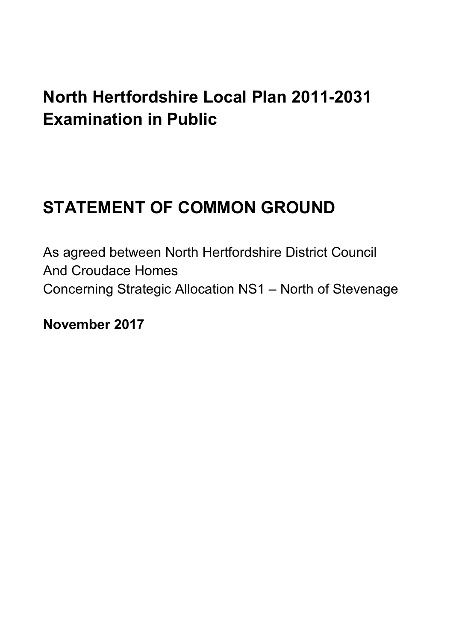## **North Hertfordshire Local Plan 2011-2031 Examination in Public**

# **STATEMENT OF COMMON GROUND**

As agreed between North Hertfordshire District Council And Croudace Homes Concerning Strategic Allocation NS1 – North of Stevenage

**November 2017**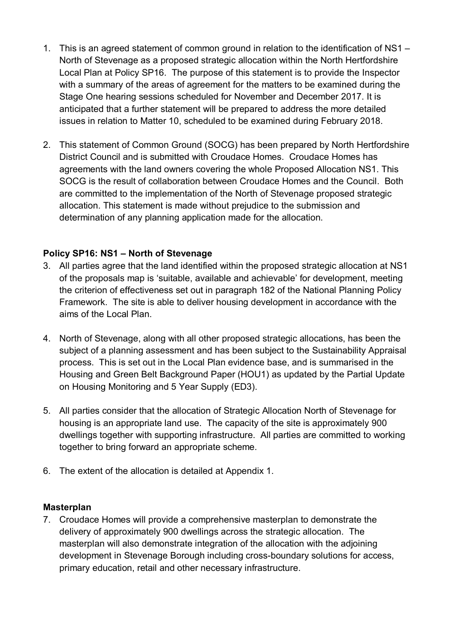- 1. This is an agreed statement of common ground in relation to the identification of NS1 North of Stevenage as a proposed strategic allocation within the North Hertfordshire Local Plan at Policy SP16. The purpose of this statement is to provide the Inspector with a summary of the areas of agreement for the matters to be examined during the Stage One hearing sessions scheduled for November and December 2017. It is anticipated that a further statement will be prepared to address the more detailed issues in relation to Matter 10, scheduled to be examined during February 2018.
- 2. This statement of Common Ground (SOCG) has been prepared by North Hertfordshire District Council and is submitted with Croudace Homes. Croudace Homes has agreements with the land owners covering the whole Proposed Allocation NS1. This SOCG is the result of collaboration between Croudace Homes and the Council. Both are committed to the implementation of the North of Stevenage proposed strategic allocation. This statement is made without prejudice to the submission and determination of any planning application made for the allocation.

## **Policy SP16: NS1 – North of Stevenage**

- 3. All parties agree that the land identified within the proposed strategic allocation at NS1 of the proposals map is 'suitable, available and achievable' for development, meeting the criterion of effectiveness set out in paragraph 182 of the National Planning Policy Framework. The site is able to deliver housing development in accordance with the aims of the Local Plan.
- 4. North of Stevenage, along with all other proposed strategic allocations, has been the subject of a planning assessment and has been subject to the Sustainability Appraisal process. This is set out in the Local Plan evidence base, and is summarised in the Housing and Green Belt Background Paper (HOU1) as updated by the Partial Update on Housing Monitoring and 5 Year Supply (ED3).
- 5. All parties consider that the allocation of Strategic Allocation North of Stevenage for housing is an appropriate land use. The capacity of the site is approximately 900 dwellings together with supporting infrastructure. All parties are committed to working together to bring forward an appropriate scheme.
- 6. The extent of the allocation is detailed at Appendix 1.

#### **Masterplan**

7. Croudace Homes will provide a comprehensive masterplan to demonstrate the delivery of approximately 900 dwellings across the strategic allocation. The masterplan will also demonstrate integration of the allocation with the adjoining development in Stevenage Borough including cross-boundary solutions for access, primary education, retail and other necessary infrastructure.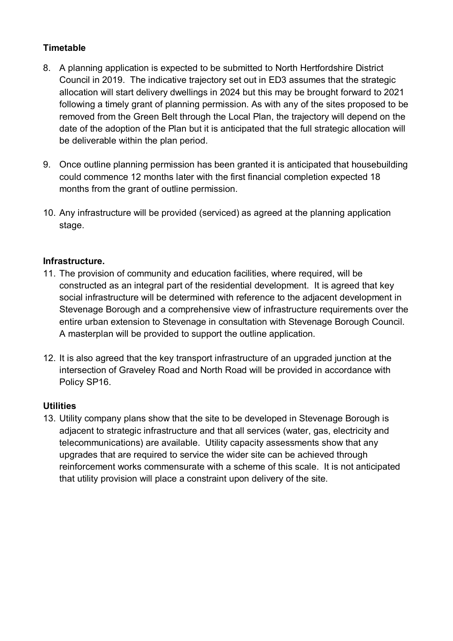## **Timetable**

- 8. A planning application is expected to be submitted to North Hertfordshire District Council in 2019. The indicative trajectory set out in ED3 assumes that the strategic allocation will start delivery dwellings in 2024 but this may be brought forward to 2021 following a timely grant of planning permission. As with any of the sites proposed to be removed from the Green Belt through the Local Plan, the trajectory will depend on the date of the adoption of the Plan but it is anticipated that the full strategic allocation will be deliverable within the plan period.
- 9. Once outline planning permission has been granted it is anticipated that housebuilding could commence 12 months later with the first financial completion expected 18 months from the grant of outline permission.
- 10. Any infrastructure will be provided (serviced) as agreed at the planning application stage.

## **Infrastructure.**

- 11. The provision of community and education facilities, where required, will be constructed as an integral part of the residential development. It is agreed that key social infrastructure will be determined with reference to the adjacent development in Stevenage Borough and a comprehensive view of infrastructure requirements over the entire urban extension to Stevenage in consultation with Stevenage Borough Council. A masterplan will be provided to support the outline application.
- 12. It is also agreed that the key transport infrastructure of an upgraded junction at the intersection of Graveley Road and North Road will be provided in accordance with Policy SP16.

#### **Utilities**

13. Utility company plans show that the site to be developed in Stevenage Borough is adjacent to strategic infrastructure and that all services (water, gas, electricity and telecommunications) are available. Utility capacity assessments show that any upgrades that are required to service the wider site can be achieved through reinforcement works commensurate with a scheme of this scale. It is not anticipated that utility provision will place a constraint upon delivery of the site.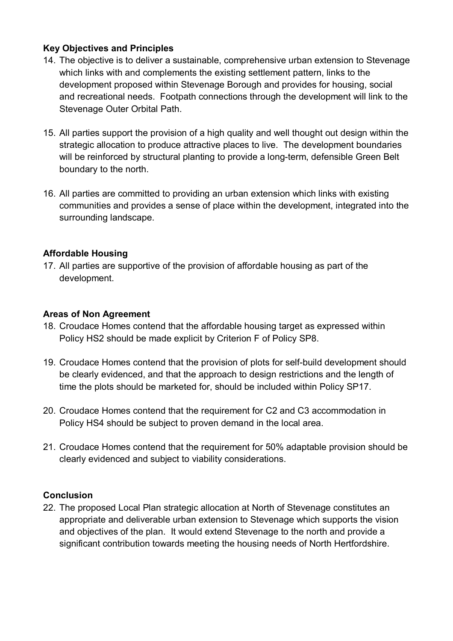## **Key Objectives and Principles**

- 14. The objective is to deliver a sustainable, comprehensive urban extension to Stevenage which links with and complements the existing settlement pattern, links to the development proposed within Stevenage Borough and provides for housing, social and recreational needs. Footpath connections through the development will link to the Stevenage Outer Orbital Path.
- 15. All parties support the provision of a high quality and well thought out design within the strategic allocation to produce attractive places to live. The development boundaries will be reinforced by structural planting to provide a long-term, defensible Green Belt boundary to the north.
- 16. All parties are committed to providing an urban extension which links with existing communities and provides a sense of place within the development, integrated into the surrounding landscape.

#### **Affordable Housing**

17. All parties are supportive of the provision of affordable housing as part of the development.

#### **Areas of Non Agreement**

- 18. Croudace Homes contend that the affordable housing target as expressed within Policy HS2 should be made explicit by Criterion F of Policy SP8.
- 19. Croudace Homes contend that the provision of plots for self-build development should be clearly evidenced, and that the approach to design restrictions and the length of time the plots should be marketed for, should be included within Policy SP17.
- 20. Croudace Homes contend that the requirement for C2 and C3 accommodation in Policy HS4 should be subject to proven demand in the local area.
- 21. Croudace Homes contend that the requirement for 50% adaptable provision should be clearly evidenced and subject to viability considerations.

#### **Conclusion**

22. The proposed Local Plan strategic allocation at North of Stevenage constitutes an appropriate and deliverable urban extension to Stevenage which supports the vision and objectives of the plan. It would extend Stevenage to the north and provide a significant contribution towards meeting the housing needs of North Hertfordshire.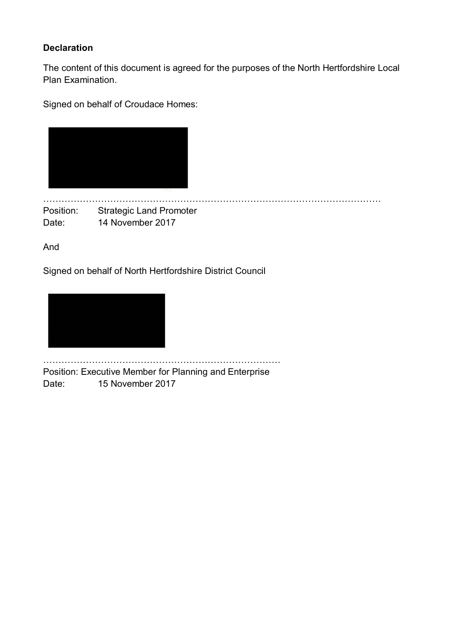## **Declaration**

The content of this document is agreed for the purposes of the North Hertfordshire Local Plan Examination.

Signed on behalf of Croudace Homes:

|  | <b>COL</b> |
|--|------------|
|  |            |

BBBBBBBBBBBBBBBBBBBBBBBBBBBBBBBBBBBBB Position: Strategic Land Promoter Date: 14 November 2017

And

Signed on behalf of North Hertfordshire District Council



BBBBBBBBBBBBBBBBBBBBBBBBBB Position: Executive Member for Planning and Enterprise Date: 15 November 2017